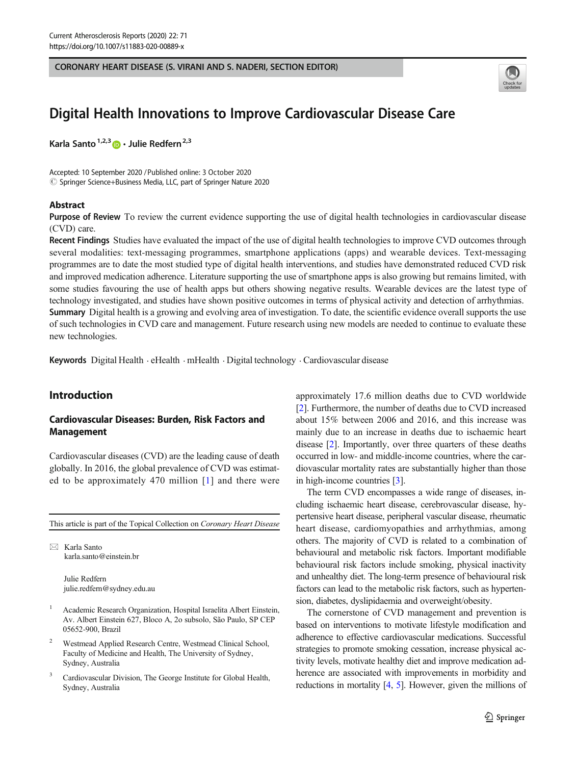CORONARY HEART DISEASE (S. VIRANI AND S. NADERI, SECTION EDITOR)



# Digital Health Innovations to Improve Cardiovascular Disease Care

Karla Santo<sup>1,2,3</sup>  $\bullet$  Julie Redfern<sup>2,3</sup>

Accepted: 10 September 2020 /Published online: 3 October 2020 © Springer Science+Business Media, LLC, part of Springer Nature 2020

#### Abstract

Purpose of Review To review the current evidence supporting the use of digital health technologies in cardiovascular disease (CVD) care.

Recent Findings Studies have evaluated the impact of the use of digital health technologies to improve CVD outcomes through several modalities: text-messaging programmes, smartphone applications (apps) and wearable devices. Text-messaging programmes are to date the most studied type of digital health interventions, and studies have demonstrated reduced CVD risk and improved medication adherence. Literature supporting the use of smartphone apps is also growing but remains limited, with some studies favouring the use of health apps but others showing negative results. Wearable devices are the latest type of technology investigated, and studies have shown positive outcomes in terms of physical activity and detection of arrhythmias. Summary Digital health is a growing and evolving area of investigation. To date, the scientific evidence overall supports the use of such technologies in CVD care and management. Future research using new models are needed to continue to evaluate these new technologies.

Keywords Digital Health . eHealth . mHealth . Digital technology . Cardiovascular disease

## Introduction

## Cardiovascular Diseases: Burden, Risk Factors and Management

Cardiovascular diseases (CVD) are the leading cause of death globally. In 2016, the global prevalence of CVD was estimated to be approximately 470 million [[1\]](#page-7-0) and there were

This article is part of the Topical Collection on Coronary Heart Disease

 $\boxtimes$  Karla Santo [karla.santo@einstein.br](mailto:karla.santo@einstein.br)

> Julie Redfern julie.redfern@sydney.edu.au

- <sup>1</sup> Academic Research Organization, Hospital Israelita Albert Einstein, Av. Albert Einstein 627, Bloco A, 2o subsolo, São Paulo, SP CEP 05652-900, Brazil
- <sup>2</sup> Westmead Applied Research Centre, Westmead Clinical School, Faculty of Medicine and Health, The University of Sydney, Sydney, Australia
- <sup>3</sup> Cardiovascular Division, The George Institute for Global Health, Sydney, Australia

approximately 17.6 million deaths due to CVD worldwide [\[2](#page-7-0)]. Furthermore, the number of deaths due to CVD increased about 15% between 2006 and 2016, and this increase was mainly due to an increase in deaths due to ischaemic heart disease [[2\]](#page-7-0). Importantly, over three quarters of these deaths occurred in low- and middle-income countries, where the cardiovascular mortality rates are substantially higher than those in high-income countries [\[3\]](#page-7-0).

The term CVD encompasses a wide range of diseases, including ischaemic heart disease, cerebrovascular disease, hypertensive heart disease, peripheral vascular disease, rheumatic heart disease, cardiomyopathies and arrhythmias, among others. The majority of CVD is related to a combination of behavioural and metabolic risk factors. Important modifiable behavioural risk factors include smoking, physical inactivity and unhealthy diet. The long-term presence of behavioural risk factors can lead to the metabolic risk factors, such as hypertension, diabetes, dyslipidaemia and overweight/obesity.

The cornerstone of CVD management and prevention is based on interventions to motivate lifestyle modification and adherence to effective cardiovascular medications. Successful strategies to promote smoking cessation, increase physical activity levels, motivate healthy diet and improve medication adherence are associated with improvements in morbidity and reductions in mortality [\[4](#page-7-0), [5\]](#page-7-0). However, given the millions of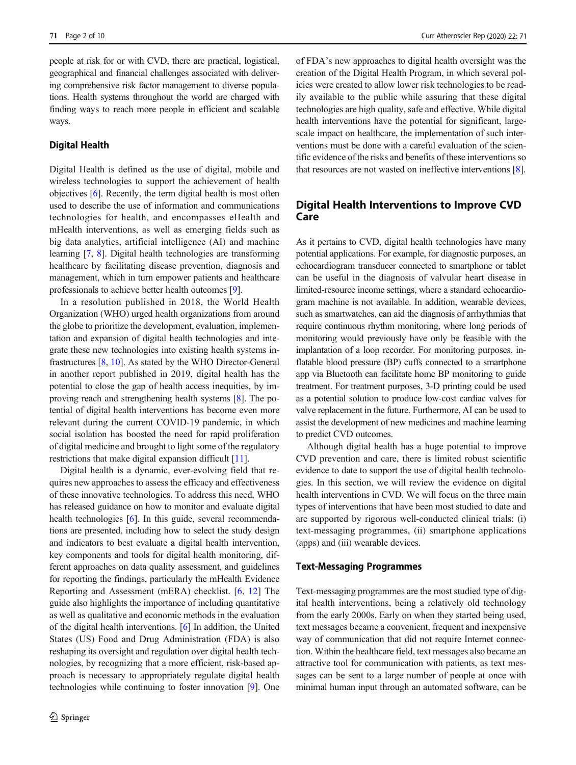people at risk for or with CVD, there are practical, logistical, geographical and financial challenges associated with delivering comprehensive risk factor management to diverse populations. Health systems throughout the world are charged with finding ways to reach more people in efficient and scalable ways.

#### Digital Health

Digital Health is defined as the use of digital, mobile and wireless technologies to support the achievement of health objectives [\[6](#page-7-0)]. Recently, the term digital health is most often used to describe the use of information and communications technologies for health, and encompasses eHealth and mHealth interventions, as well as emerging fields such as big data analytics, artificial intelligence (AI) and machine learning [\[7](#page-7-0), [8](#page-7-0)]. Digital health technologies are transforming healthcare by facilitating disease prevention, diagnosis and management, which in turn empower patients and healthcare professionals to achieve better health outcomes [\[9](#page-7-0)].

In a resolution published in 2018, the World Health Organization (WHO) urged health organizations from around the globe to prioritize the development, evaluation, implementation and expansion of digital health technologies and integrate these new technologies into existing health systems infrastructures [[8](#page-7-0), [10](#page-7-0)]. As stated by the WHO Director-General in another report published in 2019, digital health has the potential to close the gap of health access inequities, by improving reach and strengthening health systems [\[8](#page-7-0)]. The potential of digital health interventions has become even more relevant during the current COVID-19 pandemic, in which social isolation has boosted the need for rapid proliferation of digital medicine and brought to light some of the regulatory restrictions that make digital expansion difficult [[11](#page-7-0)].

Digital health is a dynamic, ever-evolving field that requires new approaches to assess the efficacy and effectiveness of these innovative technologies. To address this need, WHO has released guidance on how to monitor and evaluate digital health technologies [[6\]](#page-7-0). In this guide, several recommendations are presented, including how to select the study design and indicators to best evaluate a digital health intervention, key components and tools for digital health monitoring, different approaches on data quality assessment, and guidelines for reporting the findings, particularly the mHealth Evidence Reporting and Assessment (mERA) checklist. [\[6](#page-7-0), [12\]](#page-7-0) The guide also highlights the importance of including quantitative as well as qualitative and economic methods in the evaluation of the digital health interventions. [\[6](#page-7-0)] In addition, the United States (US) Food and Drug Administration (FDA) is also reshaping its oversight and regulation over digital health technologies, by recognizing that a more efficient, risk-based approach is necessary to appropriately regulate digital health technologies while continuing to foster innovation [[9\]](#page-7-0). One of FDA's new approaches to digital health oversight was the creation of the Digital Health Program, in which several policies were created to allow lower risk technologies to be readily available to the public while assuring that these digital technologies are high quality, safe and effective. While digital health interventions have the potential for significant, largescale impact on healthcare, the implementation of such interventions must be done with a careful evaluation of the scientific evidence of the risks and benefits of these interventions so that resources are not wasted on ineffective interventions [\[8](#page-7-0)].

# Digital Health Interventions to Improve CVD Care

As it pertains to CVD, digital health technologies have many potential applications. For example, for diagnostic purposes, an echocardiogram transducer connected to smartphone or tablet can be useful in the diagnosis of valvular heart disease in limited-resource income settings, where a standard echocardiogram machine is not available. In addition, wearable devices, such as smartwatches, can aid the diagnosis of arrhythmias that require continuous rhythm monitoring, where long periods of monitoring would previously have only be feasible with the implantation of a loop recorder. For monitoring purposes, inflatable blood pressure (BP) cuffs connected to a smartphone app via Bluetooth can facilitate home BP monitoring to guide treatment. For treatment purposes, 3-D printing could be used as a potential solution to produce low-cost cardiac valves for valve replacement in the future. Furthermore, AI can be used to assist the development of new medicines and machine learning to predict CVD outcomes.

Although digital health has a huge potential to improve CVD prevention and care, there is limited robust scientific evidence to date to support the use of digital health technologies. In this section, we will review the evidence on digital health interventions in CVD. We will focus on the three main types of interventions that have been most studied to date and are supported by rigorous well-conducted clinical trials: (i) text-messaging programmes, (ii) smartphone applications (apps) and (iii) wearable devices.

### Text-Messaging Programmes

Text-messaging programmes are the most studied type of digital health interventions, being a relatively old technology from the early 2000s. Early on when they started being used, text messages became a convenient, frequent and inexpensive way of communication that did not require Internet connection. Within the healthcare field, text messages also became an attractive tool for communication with patients, as text messages can be sent to a large number of people at once with minimal human input through an automated software, can be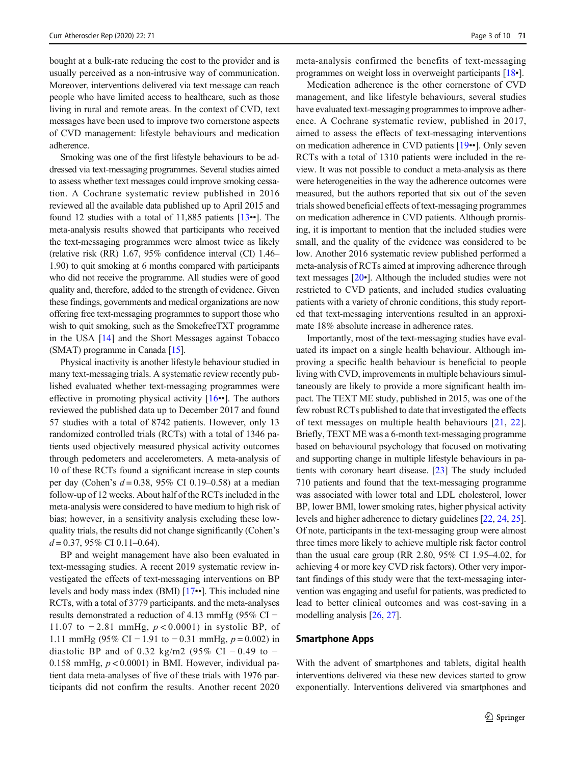bought at a bulk-rate reducing the cost to the provider and is usually perceived as a non-intrusive way of communication. Moreover, interventions delivered via text message can reach people who have limited access to healthcare, such as those living in rural and remote areas. In the context of CVD, text messages have been used to improve two cornerstone aspects of CVD management: lifestyle behaviours and medication adherence.

Smoking was one of the first lifestyle behaviours to be addressed via text-messaging programmes. Several studies aimed to assess whether text messages could improve smoking cessation. A Cochrane systematic review published in 2016 reviewed all the available data published up to April 2015 and found 12 studies with a total of 11,885 patients [[13](#page-7-0)••]. The meta-analysis results showed that participants who received the text-messaging programmes were almost twice as likely (relative risk (RR) 1.67, 95% confidence interval (CI) 1.46– 1.90) to quit smoking at 6 months compared with participants who did not receive the programme. All studies were of good quality and, therefore, added to the strength of evidence. Given these findings, governments and medical organizations are now offering free text-messaging programmes to support those who wish to quit smoking, such as the SmokefreeTXT programme in the USA [\[14](#page-7-0)] and the Short Messages against Tobacco (SMAT) programme in Canada [\[15\]](#page-7-0).

Physical inactivity is another lifestyle behaviour studied in many text-messaging trials. A systematic review recently published evaluated whether text-messaging programmes were effective in promoting physical activity  $[16\cdot \bullet]$  $[16\cdot \bullet]$  $[16\cdot \bullet]$ . The authors reviewed the published data up to December 2017 and found 57 studies with a total of 8742 patients. However, only 13 randomized controlled trials (RCTs) with a total of 1346 patients used objectively measured physical activity outcomes through pedometers and accelerometers. A meta-analysis of 10 of these RCTs found a significant increase in step counts per day (Cohen's  $d = 0.38$ , 95% CI 0.19–0.58) at a median follow-up of 12 weeks. About half of the RCTs included in the meta-analysis were considered to have medium to high risk of bias; however, in a sensitivity analysis excluding these lowquality trials, the results did not change significantly (Cohen's  $d = 0.37, 95\% \text{ CI } 0.11 - 0.64$ .

BP and weight management have also been evaluated in text-messaging studies. A recent 2019 systematic review investigated the effects of text-messaging interventions on BP levels and body mass index (BMI) [[17](#page-8-0)••]. This included nine RCTs, with a total of 3779 participants. and the meta-analyses results demonstrated a reduction of 4.13 mmHg (95% CI − 11.07 to  $-2.81$  mmHg,  $p < 0.0001$ ) in systolic BP, of 1.11 mmHg (95% CI − 1.91 to −0.31 mmHg,  $p = 0.002$ ) in diastolic BP and of 0.32 kg/m2 (95% CI – 0.49 to – 0.158 mmHg,  $p < 0.0001$ ) in BMI. However, individual patient data meta-analyses of five of these trials with 1976 participants did not confirm the results. Another recent 2020

meta-analysis confirmed the benefits of text-messaging programmes on weight loss in overweight participants [\[18](#page-8-0)•].

Medication adherence is the other cornerstone of CVD management, and like lifestyle behaviours, several studies have evaluated text-messaging programmes to improve adherence. A Cochrane systematic review, published in 2017, aimed to assess the effects of text-messaging interventions on medication adherence in CVD patients [\[19](#page-8-0)••]. Only seven RCTs with a total of 1310 patients were included in the review. It was not possible to conduct a meta-analysis as there were heterogeneities in the way the adherence outcomes were measured, but the authors reported that six out of the seven trials showed beneficial effects of text-messaging programmes on medication adherence in CVD patients. Although promising, it is important to mention that the included studies were small, and the quality of the evidence was considered to be low. Another 2016 systematic review published performed a meta-analysis of RCTs aimed at improving adherence through text messages [[20](#page-8-0)•]. Although the included studies were not restricted to CVD patients, and included studies evaluating patients with a variety of chronic conditions, this study reported that text-messaging interventions resulted in an approximate 18% absolute increase in adherence rates.

Importantly, most of the text-messaging studies have evaluated its impact on a single health behaviour. Although improving a specific health behaviour is beneficial to people living with CVD, improvements in multiple behaviours simultaneously are likely to provide a more significant health impact. The TEXT ME study, published in 2015, was one of the few robust RCTs published to date that investigated the effects of text messages on multiple health behaviours [[21,](#page-8-0) [22](#page-8-0)]. Briefly, TEXT ME was a 6-month text-messaging programme based on behavioural psychology that focused on motivating and supporting change in multiple lifestyle behaviours in patients with coronary heart disease. [\[23](#page-8-0)] The study included 710 patients and found that the text-messaging programme was associated with lower total and LDL cholesterol, lower BP, lower BMI, lower smoking rates, higher physical activity levels and higher adherence to dietary guidelines [[22,](#page-8-0) [24](#page-8-0), [25\]](#page-8-0). Of note, participants in the text-messaging group were almost three times more likely to achieve multiple risk factor control than the usual care group (RR 2.80, 95% CI 1.95–4.02, for achieving 4 or more key CVD risk factors). Other very important findings of this study were that the text-messaging intervention was engaging and useful for patients, was predicted to lead to better clinical outcomes and was cost-saving in a modelling analysis [[26,](#page-8-0) [27\]](#page-8-0).

#### Smartphone Apps

With the advent of smartphones and tablets, digital health interventions delivered via these new devices started to grow exponentially. Interventions delivered via smartphones and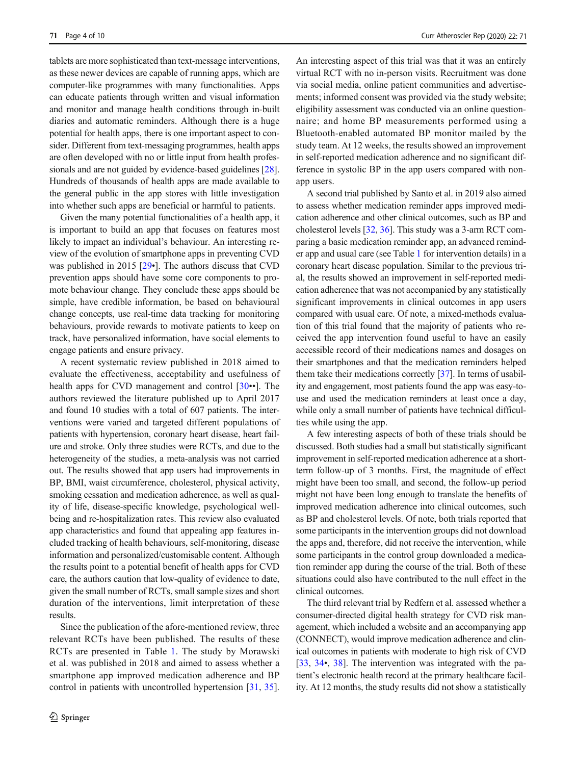tablets are more sophisticated than text-message interventions, as these newer devices are capable of running apps, which are computer-like programmes with many functionalities. Apps can educate patients through written and visual information and monitor and manage health conditions through in-built diaries and automatic reminders. Although there is a huge potential for health apps, there is one important aspect to consider. Different from text-messaging programmes, health apps are often developed with no or little input from health professionals and are not guided by evidence-based guidelines [[28\]](#page-8-0). Hundreds of thousands of health apps are made available to the general public in the app stores with little investigation into whether such apps are beneficial or harmful to patients.

Given the many potential functionalities of a health app, it is important to build an app that focuses on features most likely to impact an individual's behaviour. An interesting review of the evolution of smartphone apps in preventing CVD was published in 2015 [\[29](#page-8-0)•]. The authors discuss that CVD prevention apps should have some core components to promote behaviour change. They conclude these apps should be simple, have credible information, be based on behavioural change concepts, use real-time data tracking for monitoring behaviours, provide rewards to motivate patients to keep on track, have personalized information, have social elements to engage patients and ensure privacy.

A recent systematic review published in 2018 aimed to evaluate the effectiveness, acceptability and usefulness of health apps for CVD management and control [[30](#page-8-0)••]. The authors reviewed the literature published up to April 2017 and found 10 studies with a total of 607 patients. The interventions were varied and targeted different populations of patients with hypertension, coronary heart disease, heart failure and stroke. Only three studies were RCTs, and due to the heterogeneity of the studies, a meta-analysis was not carried out. The results showed that app users had improvements in BP, BMI, waist circumference, cholesterol, physical activity, smoking cessation and medication adherence, as well as quality of life, disease-specific knowledge, psychological wellbeing and re-hospitalization rates. This review also evaluated app characteristics and found that appealing app features included tracking of health behaviours, self-monitoring, disease information and personalized/customisable content. Although the results point to a potential benefit of health apps for CVD care, the authors caution that low-quality of evidence to date, given the small number of RCTs, small sample sizes and short duration of the interventions, limit interpretation of these results.

Since the publication of the afore-mentioned review, three relevant RCTs have been published. The results of these RCTs are presented in Table [1.](#page-4-0) The study by Morawski et al. was published in 2018 and aimed to assess whether a smartphone app improved medication adherence and BP control in patients with uncontrolled hypertension [[31,](#page-8-0) [35](#page-8-0)].

An interesting aspect of this trial was that it was an entirely virtual RCT with no in-person visits. Recruitment was done via social media, online patient communities and advertisements; informed consent was provided via the study website; eligibility assessment was conducted via an online questionnaire; and home BP measurements performed using a Bluetooth-enabled automated BP monitor mailed by the study team. At 12 weeks, the results showed an improvement in self-reported medication adherence and no significant difference in systolic BP in the app users compared with nonapp users.

A second trial published by Santo et al. in 2019 also aimed to assess whether medication reminder apps improved medication adherence and other clinical outcomes, such as BP and cholesterol levels [\[32](#page-8-0), [36\]](#page-8-0). This study was a 3-arm RCT comparing a basic medication reminder app, an advanced reminder app and usual care (see Table [1](#page-4-0) for intervention details) in a coronary heart disease population. Similar to the previous trial, the results showed an improvement in self-reported medication adherence that was not accompanied by any statistically significant improvements in clinical outcomes in app users compared with usual care. Of note, a mixed-methods evaluation of this trial found that the majority of patients who received the app intervention found useful to have an easily accessible record of their medications names and dosages on their smartphones and that the medication reminders helped them take their medications correctly [\[37](#page-8-0)]. In terms of usability and engagement, most patients found the app was easy-touse and used the medication reminders at least once a day, while only a small number of patients have technical difficulties while using the app.

A few interesting aspects of both of these trials should be discussed. Both studies had a small but statistically significant improvement in self-reported medication adherence at a shortterm follow-up of 3 months. First, the magnitude of effect might have been too small, and second, the follow-up period might not have been long enough to translate the benefits of improved medication adherence into clinical outcomes, such as BP and cholesterol levels. Of note, both trials reported that some participants in the intervention groups did not download the apps and, therefore, did not receive the intervention, while some participants in the control group downloaded a medication reminder app during the course of the trial. Both of these situations could also have contributed to the null effect in the clinical outcomes.

The third relevant trial by Redfern et al. assessed whether a consumer-directed digital health strategy for CVD risk management, which included a website and an accompanying app (CONNECT), would improve medication adherence and clinical outcomes in patients with moderate to high risk of CVD [\[33](#page-8-0), [34](#page-8-0)•, [38\]](#page-8-0). The intervention was integrated with the patient's electronic health record at the primary healthcare facility. At 12 months, the study results did not show a statistically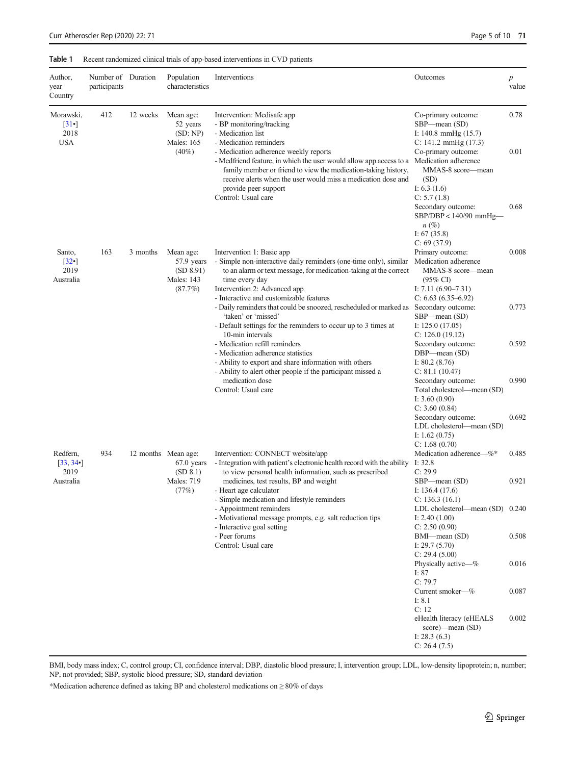#### <span id="page-4-0"></span>Table 1 Recent randomized clinical trials of app-based interventions in CVD patients

| Author,<br>year<br>Country                                  | Number of Duration<br>participants |          | Population<br>characteristics                                                 | Interventions                                                                                                                                                                                                                                                                                                                                                                                                                                                                                                                                                                                                                                                                                                                                      | Outcomes                                                                                                                                                                                                                             | $\boldsymbol{p}$<br>value |
|-------------------------------------------------------------|------------------------------------|----------|-------------------------------------------------------------------------------|----------------------------------------------------------------------------------------------------------------------------------------------------------------------------------------------------------------------------------------------------------------------------------------------------------------------------------------------------------------------------------------------------------------------------------------------------------------------------------------------------------------------------------------------------------------------------------------------------------------------------------------------------------------------------------------------------------------------------------------------------|--------------------------------------------------------------------------------------------------------------------------------------------------------------------------------------------------------------------------------------|---------------------------|
| Morawski,<br>$\lceil 31 \cdot \rceil$<br>2018<br><b>USA</b> | 412                                | 12 weeks | Mean age:<br>52 years<br>(SD: NP)<br><b>Males: 165</b><br>$(40\%)$            | Intervention: Medisafe app<br>- BP monitoring/tracking<br>- Medication list<br>- Medication reminders<br>- Medication adherence weekly reports<br>- Medfriend feature, in which the user would allow app access to a Medication adherence<br>family member or friend to view the medication-taking history,<br>receive alerts when the user would miss a medication dose and<br>provide peer-support<br>Control: Usual care                                                                                                                                                                                                                                                                                                                        | Co-primary outcome:<br>SBP—mean (SD)<br>I: 140.8 mmHg (15.7)<br>$C: 141.2 \text{ mmHg} (17.3)$<br>Co-primary outcome:<br>MMAS-8 score—mean<br>(SD)<br>I: $6.3(1.6)$<br>C: 5.7(1.8)<br>Secondary outcome:<br>$SBP/DBP < 140/90$ mmHg— | 0.78<br>0.01<br>0.68      |
| Santo,<br>[32]<br>2019<br>Australia                         | 163                                | 3 months | Mean age:<br>57.9 years<br>(SD 8.91)<br><b>Males: 143</b><br>(87.7%)          | Intervention 1: Basic app<br>- Simple non-interactive daily reminders (one-time only), similar<br>to an alarm or text message, for medication-taking at the correct<br>time every day<br>Intervention 2: Advanced app<br>- Interactive and customizable features<br>- Daily reminders that could be snoozed, rescheduled or marked as Secondary outcome:<br>'taken' or 'missed'<br>- Default settings for the reminders to occur up to 3 times at<br>10-min intervals<br>- Medication refill reminders<br>- Medication adherence statistics<br>- Ability to export and share information with others<br>- Ability to alert other people if the participant missed a<br>medication dose<br>Control: Usual care<br>Intervention: CONNECT website/app | $n\left(\%\right)$<br>I: $67(35.8)$<br>C: 69(37.9)<br>Primary outcome:<br>Medication adherence<br>MMAS-8 score-mean<br>$(95\% \text{ CI})$                                                                                           | 0.008                     |
|                                                             |                                    |          |                                                                               |                                                                                                                                                                                                                                                                                                                                                                                                                                                                                                                                                                                                                                                                                                                                                    | I: $7.11(6.90-7.31)$<br>$C: 6.63 (6.35 - 6.92)$<br>SBP—mean (SD)<br>I: $125.0(17.05)$                                                                                                                                                | 0.773                     |
|                                                             |                                    |          |                                                                               |                                                                                                                                                                                                                                                                                                                                                                                                                                                                                                                                                                                                                                                                                                                                                    | C: 126.0(19.12)<br>Secondary outcome:<br>DBP-mean (SD)<br>I: $80.2(8.76)$<br>C: 81.1(10.47)<br>Secondary outcome:<br>Total cholesterol—mean (SD)<br>I: $3.60(0.90)$<br>C: 3.60(0.84)                                                 | 0.592<br>0.990            |
|                                                             |                                    |          |                                                                               |                                                                                                                                                                                                                                                                                                                                                                                                                                                                                                                                                                                                                                                                                                                                                    | Secondary outcome:<br>LDL cholesterol-mean (SD)<br>I: $1.62(0.75)$<br>C: 1.68(0.70)<br>Medication adherence-%*                                                                                                                       | 0.692<br>0.485            |
| Redfern,<br>[33, 34]<br>2019<br>Australia                   | 934                                |          | 12 months Mean age:<br>$67.0$ years<br>(SD 8.1)<br><b>Males: 719</b><br>(77%) | - Integration with patient's electronic health record with the ability I: 32.8<br>to view personal health information, such as prescribed<br>medicines, test results, BP and weight<br>- Heart age calculator<br>- Simple medication and lifestyle reminders<br>- Appointment reminders<br>- Motivational message prompts, e.g. salt reduction tips<br>- Interactive goal setting<br>- Peer forums<br>Control: Usual care                                                                                                                                                                                                                                                                                                                          | C: 29.9<br>SBP—mean (SD)<br>I: $136.4(17.6)$<br>C: 136.3(16.1)                                                                                                                                                                       | 0.921                     |
|                                                             |                                    |          |                                                                               |                                                                                                                                                                                                                                                                                                                                                                                                                                                                                                                                                                                                                                                                                                                                                    | LDL cholesterol—mean (SD) 0.240<br>I: $2.40(1.00)$<br>C: 2.50(0.90)<br>BMI-mean (SD)                                                                                                                                                 | 0.508                     |
|                                                             |                                    |          |                                                                               |                                                                                                                                                                                                                                                                                                                                                                                                                                                                                                                                                                                                                                                                                                                                                    | I: $29.7(5.70)$<br>C: 29.4(5.00)<br>Physically active—%<br>I: $87$<br>C: 79.7                                                                                                                                                        | 0.016                     |
|                                                             |                                    |          |                                                                               |                                                                                                                                                                                                                                                                                                                                                                                                                                                                                                                                                                                                                                                                                                                                                    | Current smoker-%<br>I: 8.1<br>C: 12                                                                                                                                                                                                  | 0.087                     |
|                                                             |                                    |          |                                                                               |                                                                                                                                                                                                                                                                                                                                                                                                                                                                                                                                                                                                                                                                                                                                                    | eHealth literacy (eHEALS<br>score)—mean (SD)<br>I: $28.3(6.3)$<br>C: 26.4(7.5)                                                                                                                                                       | 0.002                     |

BMI, body mass index; C, control group; CI, confidence interval; DBP, diastolic blood pressure; I, intervention group; LDL, low-density lipoprotein; n, number; NP, not provided; SBP, systolic blood pressure; SD, standard deviation

\*Medication adherence defined as taking BP and cholesterol medications on ≥ 80% of days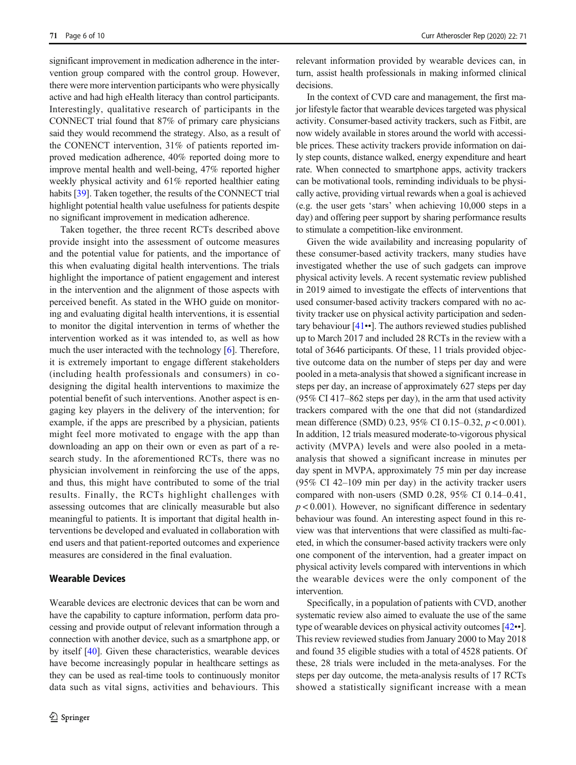significant improvement in medication adherence in the intervention group compared with the control group. However, there were more intervention participants who were physically active and had high eHealth literacy than control participants. Interestingly, qualitative research of participants in the CONNECT trial found that 87% of primary care physicians said they would recommend the strategy. Also, as a result of the CONENCT intervention, 31% of patients reported improved medication adherence, 40% reported doing more to improve mental health and well-being, 47% reported higher weekly physical activity and 61% reported healthier eating habits [\[39](#page-8-0)]. Taken together, the results of the CONNECT trial highlight potential health value usefulness for patients despite no significant improvement in medication adherence.

Taken together, the three recent RCTs described above provide insight into the assessment of outcome measures and the potential value for patients, and the importance of this when evaluating digital health interventions. The trials highlight the importance of patient engagement and interest in the intervention and the alignment of those aspects with perceived benefit. As stated in the WHO guide on monitoring and evaluating digital health interventions, it is essential to monitor the digital intervention in terms of whether the intervention worked as it was intended to, as well as how much the user interacted with the technology [[6\]](#page-7-0). Therefore, it is extremely important to engage different stakeholders (including health professionals and consumers) in codesigning the digital health interventions to maximize the potential benefit of such interventions. Another aspect is engaging key players in the delivery of the intervention; for example, if the apps are prescribed by a physician, patients might feel more motivated to engage with the app than downloading an app on their own or even as part of a research study. In the aforementioned RCTs, there was no physician involvement in reinforcing the use of the apps, and thus, this might have contributed to some of the trial results. Finally, the RCTs highlight challenges with assessing outcomes that are clinically measurable but also meaningful to patients. It is important that digital health interventions be developed and evaluated in collaboration with end users and that patient-reported outcomes and experience measures are considered in the final evaluation.

#### Wearable Devices

Wearable devices are electronic devices that can be worn and have the capability to capture information, perform data processing and provide output of relevant information through a connection with another device, such as a smartphone app, or by itself [\[40](#page-8-0)]. Given these characteristics, wearable devices have become increasingly popular in healthcare settings as they can be used as real-time tools to continuously monitor data such as vital signs, activities and behaviours. This relevant information provided by wearable devices can, in turn, assist health professionals in making informed clinical decisions.

In the context of CVD care and management, the first major lifestyle factor that wearable devices targeted was physical activity. Consumer-based activity trackers, such as Fitbit, are now widely available in stores around the world with accessible prices. These activity trackers provide information on daily step counts, distance walked, energy expenditure and heart rate. When connected to smartphone apps, activity trackers can be motivational tools, reminding individuals to be physically active, providing virtual rewards when a goal is achieved (e.g. the user gets 'stars' when achieving 10,000 steps in a day) and offering peer support by sharing performance results to stimulate a competition-like environment.

Given the wide availability and increasing popularity of these consumer-based activity trackers, many studies have investigated whether the use of such gadgets can improve physical activity levels. A recent systematic review published in 2019 aimed to investigate the effects of interventions that used consumer-based activity trackers compared with no activity tracker use on physical activity participation and sedentary behaviour [\[41](#page-8-0)••]. The authors reviewed studies published up to March 2017 and included 28 RCTs in the review with a total of 3646 participants. Of these, 11 trials provided objective outcome data on the number of steps per day and were pooled in a meta-analysis that showed a significant increase in steps per day, an increase of approximately 627 steps per day (95% CI 417–862 steps per day), in the arm that used activity trackers compared with the one that did not (standardized mean difference (SMD) 0.23, 95% CI 0.15–0.32,  $p < 0.001$ ). In addition, 12 trials measured moderate-to-vigorous physical activity (MVPA) levels and were also pooled in a metaanalysis that showed a significant increase in minutes per day spent in MVPA, approximately 75 min per day increase (95% CI 42–109 min per day) in the activity tracker users compared with non-users (SMD 0.28, 95% CI 0.14–0.41,  $p < 0.001$ ). However, no significant difference in sedentary behaviour was found. An interesting aspect found in this review was that interventions that were classified as multi-faceted, in which the consumer-based activity trackers were only one component of the intervention, had a greater impact on physical activity levels compared with interventions in which the wearable devices were the only component of the intervention.

Specifically, in a population of patients with CVD, another systematic review also aimed to evaluate the use of the same type of wearable devices on physical activity outcomes [\[42](#page-9-0)••]. This review reviewed studies from January 2000 to May 2018 and found 35 eligible studies with a total of 4528 patients. Of these, 28 trials were included in the meta-analyses. For the steps per day outcome, the meta-analysis results of 17 RCTs showed a statistically significant increase with a mean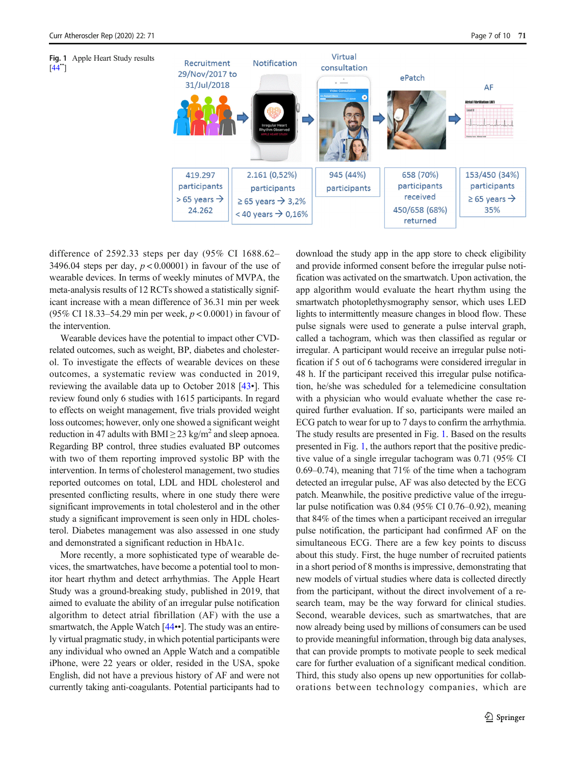$[44"]$  $[44"]$  $[44"]$ 



difference of 2592.33 steps per day (95% CI 1688.62– 3496.04 steps per day,  $p < 0.00001$ ) in favour of the use of wearable devices. In terms of weekly minutes of MVPA, the meta-analysis results of 12 RCTs showed a statistically significant increase with a mean difference of 36.31 min per week (95% CI 18.33–54.29 min per week, p < 0.0001) in favour of the intervention.

Wearable devices have the potential to impact other CVDrelated outcomes, such as weight, BP, diabetes and cholesterol. To investigate the effects of wearable devices on these outcomes, a systematic review was conducted in 2019, reviewing the available data up to October 2018 [[43](#page-9-0)•]. This review found only 6 studies with 1615 participants. In regard to effects on weight management, five trials provided weight loss outcomes; however, only one showed a significant weight reduction in 47 adults with BMI  $\geq$  23 kg/m<sup>2</sup> and sleep apnoea. Regarding BP control, three studies evaluated BP outcomes with two of them reporting improved systolic BP with the intervention. In terms of cholesterol management, two studies reported outcomes on total, LDL and HDL cholesterol and presented conflicting results, where in one study there were significant improvements in total cholesterol and in the other study a significant improvement is seen only in HDL cholesterol. Diabetes management was also assessed in one study and demonstrated a significant reduction in HbA1c.

More recently, a more sophisticated type of wearable devices, the smartwatches, have become a potential tool to monitor heart rhythm and detect arrhythmias. The Apple Heart Study was a ground-breaking study, published in 2019, that aimed to evaluate the ability of an irregular pulse notification algorithm to detect atrial fibrillation (AF) with the use a smartwatch, the Apple Watch [[44](#page-9-0)••]. The study was an entirely virtual pragmatic study, in which potential participants were any individual who owned an Apple Watch and a compatible iPhone, were 22 years or older, resided in the USA, spoke English, did not have a previous history of AF and were not currently taking anti-coagulants. Potential participants had to download the study app in the app store to check eligibility and provide informed consent before the irregular pulse notification was activated on the smartwatch. Upon activation, the app algorithm would evaluate the heart rhythm using the smartwatch photoplethysmography sensor, which uses LED lights to intermittently measure changes in blood flow. These pulse signals were used to generate a pulse interval graph, called a tachogram, which was then classified as regular or irregular. A participant would receive an irregular pulse notification if 5 out of 6 tachograms were considered irregular in 48 h. If the participant received this irregular pulse notification, he/she was scheduled for a telemedicine consultation with a physician who would evaluate whether the case required further evaluation. If so, participants were mailed an ECG patch to wear for up to 7 days to confirm the arrhythmia. The study results are presented in Fig. 1. Based on the results presented in Fig. 1, the authors report that the positive predictive value of a single irregular tachogram was 0.71 (95% CI 0.69–0.74), meaning that 71% of the time when a tachogram detected an irregular pulse, AF was also detected by the ECG patch. Meanwhile, the positive predictive value of the irregular pulse notification was 0.84 (95% CI 0.76–0.92), meaning that 84% of the times when a participant received an irregular pulse notification, the participant had confirmed AF on the simultaneous ECG. There are a few key points to discuss about this study. First, the huge number of recruited patients in a short period of 8 months is impressive, demonstrating that new models of virtual studies where data is collected directly from the participant, without the direct involvement of a research team, may be the way forward for clinical studies. Second, wearable devices, such as smartwatches, that are now already being used by millions of consumers can be used to provide meaningful information, through big data analyses, that can provide prompts to motivate people to seek medical care for further evaluation of a significant medical condition. Third, this study also opens up new opportunities for collaborations between technology companies, which are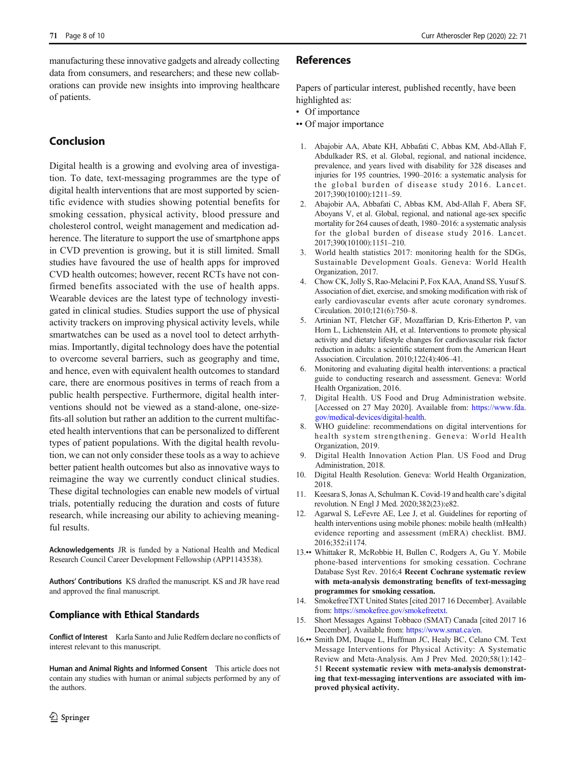<span id="page-7-0"></span>manufacturing these innovative gadgets and already collecting data from consumers, and researchers; and these new collaborations can provide new insights into improving healthcare of patients.

# Conclusion

Digital health is a growing and evolving area of investigation. To date, text-messaging programmes are the type of digital health interventions that are most supported by scientific evidence with studies showing potential benefits for smoking cessation, physical activity, blood pressure and cholesterol control, weight management and medication adherence. The literature to support the use of smartphone apps in CVD prevention is growing, but it is still limited. Small studies have favoured the use of health apps for improved CVD health outcomes; however, recent RCTs have not confirmed benefits associated with the use of health apps. Wearable devices are the latest type of technology investigated in clinical studies. Studies support the use of physical activity trackers on improving physical activity levels, while smartwatches can be used as a novel tool to detect arrhythmias. Importantly, digital technology does have the potential to overcome several barriers, such as geography and time, and hence, even with equivalent health outcomes to standard care, there are enormous positives in terms of reach from a public health perspective. Furthermore, digital health interventions should not be viewed as a stand-alone, one-sizefits-all solution but rather an addition to the current multifaceted health interventions that can be personalized to different types of patient populations. With the digital health revolution, we can not only consider these tools as a way to achieve better patient health outcomes but also as innovative ways to reimagine the way we currently conduct clinical studies. These digital technologies can enable new models of virtual trials, potentially reducing the duration and costs of future research, while increasing our ability to achieving meaningful results.

Acknowledgements JR is funded by a National Health and Medical Research Council Career Development Fellowship (APP1143538).

Authors' Contributions KS drafted the manuscript. KS and JR have read and approved the final manuscript.

## Compliance with Ethical Standards

Conflict of Interest Karla Santo and Julie Redfern declare no conflicts of interest relevant to this manuscript.

Human and Animal Rights and Informed Consent This article does not contain any studies with human or animal subjects performed by any of the authors.

#### References

Papers of particular interest, published recently, have been highlighted as:

- Of importance
- •• Of major importance
- 1. Abajobir AA, Abate KH, Abbafati C, Abbas KM, Abd-Allah F, Abdulkader RS, et al. Global, regional, and national incidence, prevalence, and years lived with disability for 328 diseases and injuries for 195 countries, 1990–2016: a systematic analysis for the global burden of disease study 2016. Lancet. 2017;390(10100):1211–59.
- 2. Abajobir AA, Abbafati C, Abbas KM, Abd-Allah F, Abera SF, Aboyans V, et al. Global, regional, and national age-sex specific mortality for 264 causes of death, 1980–2016: a systematic analysis for the global burden of disease study 2016. Lancet. 2017;390(10100):1151–210.
- 3. World health statistics 2017: monitoring health for the SDGs, Sustainable Development Goals. Geneva: World Health Organization, 2017.
- 4. Chow CK, Jolly S, Rao-Melacini P, Fox KAA, Anand SS, Yusuf S. Association of diet, exercise, and smoking modification with risk of early cardiovascular events after acute coronary syndromes. Circulation. 2010;121(6):750–8.
- 5. Artinian NT, Fletcher GF, Mozaffarian D, Kris-Etherton P, van Horn L, Lichtenstein AH, et al. Interventions to promote physical activity and dietary lifestyle changes for cardiovascular risk factor reduction in adults: a scientific statement from the American Heart Association. Circulation. 2010;122(4):406–41.
- 6. Monitoring and evaluating digital health interventions: a practical guide to conducting research and assessment. Geneva: World Health Organization, 2016.
- 7. Digital Health. US Food and Drug Administration website. [Accessed on 27 May 2020]. Available from: [https://www.fda.](https://www.fda.gov/medicalevices/digitalealth) [gov/medical-devices/digital-health.](https://www.fda.gov/medicalevices/digitalealth)
- 8. WHO guideline: recommendations on digital interventions for health system strengthening. Geneva: World Health Organization, 2019.
- 9. Digital Health Innovation Action Plan. US Food and Drug Administration, 2018.
- 10. Digital Health Resolution. Geneva: World Health Organization, 2018.
- 11. Keesara S, Jonas A, Schulman K. Covid-19 and health care's digital revolution. N Engl J Med. 2020;382(23):e82.
- 12. Agarwal S, LeFevre AE, Lee J, et al. Guidelines for reporting of health interventions using mobile phones: mobile health (mHealth) evidence reporting and assessment (mERA) checklist. BMJ. 2016;352:i1174.
- 13.•• Whittaker R, McRobbie H, Bullen C, Rodgers A, Gu Y. Mobile phone-based interventions for smoking cessation. Cochrane Database Syst Rev. 2016;4 Recent Cochrane systematic review with meta-analysis demonstrating benefits of text-messaging programmes for smoking cessation.
- 14. SmokefreeTXT United States [cited 2017 16 December]. Available from: [https://smokefree.gov/smokefreetxt.](https://smokefree.gov/smokefreetxt)
- 15. Short Messages Against Tobbaco (SMAT) Canada [cited 2017 16 December]. Available from: [https://www.smat.ca/en.](https://www.smat.ca/en)
- 16.•• Smith DM, Duque L, Huffman JC, Healy BC, Celano CM. Text Message Interventions for Physical Activity: A Systematic Review and Meta-Analysis. Am J Prev Med. 2020;58(1):142– 51 Recent systematic review with meta-analysis demonstrating that text-messaging interventions are associated with improved physical activity.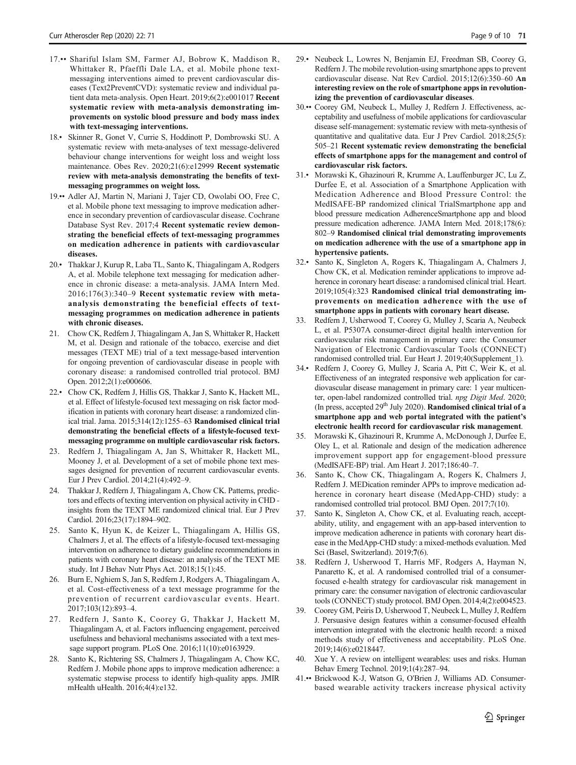- <span id="page-8-0"></span>17.•• Shariful Islam SM, Farmer AJ, Bobrow K, Maddison R, Whittaker R, Pfaeffli Dale LA, et al. Mobile phone textmessaging interventions aimed to prevent cardiovascular diseases (Text2PreventCVD): systematic review and individual patient data meta-analysis. Open Heart. 2019;6(2):e001017 Recent systematic review with meta-analysis demonstrating improvements on systolic blood pressure and body mass index with text-messaging interventions.
- 18.• Skinner R, Gonet V, Currie S, Hoddinott P, Dombrowski SU. A systematic review with meta-analyses of text message-delivered behaviour change interventions for weight loss and weight loss maintenance. Obes Rev. 2020;21(6):e12999 Recent systematic review with meta-analysis demonstrating the benefits of textmessaging programmes on weight loss.
- 19.•• Adler AJ, Martin N, Mariani J, Tajer CD, Owolabi OO, Free C, et al. Mobile phone text messaging to improve medication adherence in secondary prevention of cardiovascular disease. Cochrane Database Syst Rev. 2017;4 Recent systematic review demonstrating the beneficial effects of text-messaging programmes on medication adherence in patients with cardiovascular diseases.
- 20.• Thakkar J, Kurup R, Laba TL, Santo K, Thiagalingam A, Rodgers A, et al. Mobile telephone text messaging for medication adherence in chronic disease: a meta-analysis. JAMA Intern Med. 2016;176(3):340–9 Recent systematic review with metaanalysis demonstrating the beneficial effects of textmessaging programmes on medication adherence in patients with chronic diseases.
- 21. Chow CK, Redfern J, Thiagalingam A, Jan S, Whittaker R, Hackett M, et al. Design and rationale of the tobacco, exercise and diet messages (TEXT ME) trial of a text message-based intervention for ongoing prevention of cardiovascular disease in people with coronary disease: a randomised controlled trial protocol. BMJ Open. 2012;2(1):e000606.
- 22.• Chow CK, Redfern J, Hillis GS, Thakkar J, Santo K, Hackett ML, et al. Effect of lifestyle-focused text messaging on risk factor modification in patients with coronary heart disease: a randomized clinical trial. Jama. 2015;314(12):1255–63 Randomised clinical trial demonstrating the beneficial effects of a lifestyle-focused textmessaging programme on multiple cardiovascular risk factors.
- Redfern J, Thiagalingam A, Jan S, Whittaker R, Hackett ML, Mooney J, et al. Development of a set of mobile phone text messages designed for prevention of recurrent cardiovascular events. Eur J Prev Cardiol. 2014;21(4):492–9.
- 24. Thakkar J, Redfern J, Thiagalingam A, Chow CK. Patterns, predictors and effects of texting intervention on physical activity in CHD insights from the TEXT ME randomized clinical trial. Eur J Prev Cardiol. 2016;23(17):1894–902.
- 25. Santo K, Hyun K, de Keizer L, Thiagalingam A, Hillis GS, Chalmers J, et al. The effects of a lifestyle-focused text-messaging intervention on adherence to dietary guideline recommendations in patients with coronary heart disease: an analysis of the TEXT ME study. Int J Behav Nutr Phys Act. 2018;15(1):45.
- 26. Burn E, Nghiem S, Jan S, Redfern J, Rodgers A, Thiagalingam A, et al. Cost-effectiveness of a text message programme for the prevention of recurrent cardiovascular events. Heart. 2017;103(12):893–4.
- 27. Redfern J, Santo K, Coorey G, Thakkar J, Hackett M, Thiagalingam A, et al. Factors influencing engagement, perceived usefulness and behavioral mechanisms associated with a text message support program. PLoS One. 2016;11(10):e0163929.
- 28. Santo K, Richtering SS, Chalmers J, Thiagalingam A, Chow KC, Redfern J. Mobile phone apps to improve medication adherence: a systematic stepwise process to identify high-quality apps. JMIR mHealth uHealth. 2016;4(4):e132.
- 29.• Neubeck L, Lowres N, Benjamin EJ, Freedman SB, Coorey G, Redfern J. The mobile revolution-using smartphone apps to prevent cardiovascular disease. Nat Rev Cardiol. 2015;12(6):350–60 An interesting review on the role of smartphone apps in revolutionizing the prevention of cardiovascular diseases.
- 30.•• Coorey GM, Neubeck L, Mulley J, Redfern J. Effectiveness, acceptability and usefulness of mobile applications for cardiovascular disease self-management: systematic review with meta-synthesis of quantitative and qualitative data. Eur J Prev Cardiol. 2018;25(5): 505–21 Recent systematic review demonstrating the beneficial effects of smartphone apps for the management and control of cardiovascular risk factors.
- 31.• Morawski K, Ghazinouri R, Krumme A, Lauffenburger JC, Lu Z, Durfee E, et al. Association of a Smartphone Application with Medication Adherence and Blood Pressure Control: the MedISAFE-BP randomized clinical TrialSmartphone app and blood pressure medication AdherenceSmartphone app and blood pressure medication adherence. JAMA Intern Med. 2018;178(6): 802–9 Randomised clinical trial demonstrating improvements on medication adherence with the use of a smartphone app in hypertensive patients.
- 32.• Santo K, Singleton A, Rogers K, Thiagalingam A, Chalmers J, Chow CK, et al. Medication reminder applications to improve adherence in coronary heart disease: a randomised clinical trial. Heart. 2019;105(4):323 Randomised clinical trial demonstrating improvements on medication adherence with the use of smartphone apps in patients with coronary heart disease.
- 33. Redfern J, Usherwood T, Coorey G, Mulley J, Scaria A, Neubeck L, et al. P5307A consumer-direct digital health intervention for cardiovascular risk management in primary care: the Consumer Navigation of Electronic Cardiovascular Tools (CONNECT) randomised controlled trial. Eur Heart J. 2019;40(Supplement\_1).
- 34.• Redfern J, Coorey G, Mulley J, Scaria A, Pitt C, Weir K, et al. Effectiveness of an integrated responsive web application for cardiovascular disease management in primary care: 1 year multicenter, open-label randomized controlled trial. npg Digit Med. 2020; (In press, accepted  $29<sup>th</sup>$  July 2020). Randomised clinical trial of a smartphone app and web portal integrated with the patient's electronic health record for cardiovascular risk management.
- 35. Morawski K, Ghazinouri R, Krumme A, McDonough J, Durfee E, Oley L, et al. Rationale and design of the medication adherence improvement support app for engagement-blood pressure (MedISAFE-BP) trial. Am Heart J. 2017;186:40–7.
- 36. Santo K, Chow CK, Thiagalingam A, Rogers K, Chalmers J, Redfern J. MEDication reminder APPs to improve medication adherence in coronary heart disease (MedApp-CHD) study: a randomised controlled trial protocol. BMJ Open. 2017;7(10).
- 37. Santo K, Singleton A, Chow CK, et al. Evaluating reach, acceptability, utility, and engagement with an app-based intervention to improve medication adherence in patients with coronary heart disease in the MedApp-CHD study: a mixed-methods evaluation. Med Sci (Basel, Switzerland). 2019;7(6).
- 38. Redfern J, Usherwood T, Harris MF, Rodgers A, Hayman N, Panaretto K, et al. A randomised controlled trial of a consumerfocused e-health strategy for cardiovascular risk management in primary care: the consumer navigation of electronic cardiovascular tools (CONNECT) study protocol. BMJ Open. 2014;4(2):e004523.
- 39. Coorey GM, Peiris D, Usherwood T, Neubeck L, Mulley J, Redfern J. Persuasive design features within a consumer-focused eHealth intervention integrated with the electronic health record: a mixed methods study of effectiveness and acceptability. PLoS One. 2019;14(6):e0218447.
- 40. Xue Y. A review on intelligent wearables: uses and risks. Human Behav Emerg Technol. 2019;1(4):287–94.
- 41.•• Brickwood K-J, Watson G, O'Brien J, Williams AD. Consumerbased wearable activity trackers increase physical activity